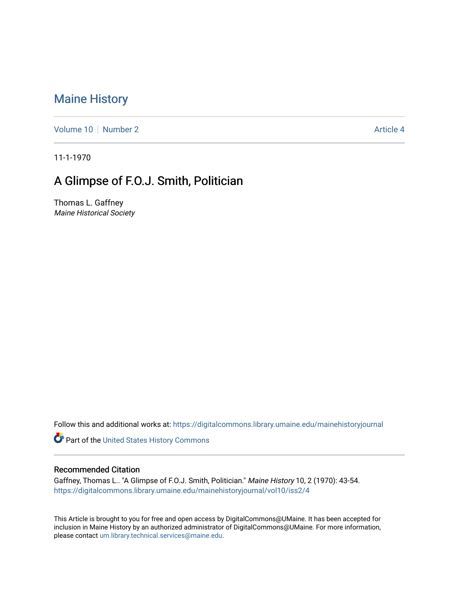## [Maine History](https://digitalcommons.library.umaine.edu/mainehistoryjournal)

[Volume 10](https://digitalcommons.library.umaine.edu/mainehistoryjournal/vol10) [Number 2](https://digitalcommons.library.umaine.edu/mainehistoryjournal/vol10/iss2) Article 4

11-1-1970

## A Glimpse of F.O.J. Smith, Politician

Thomas L. Gaffney Maine Historical Society

Follow this and additional works at: [https://digitalcommons.library.umaine.edu/mainehistoryjournal](https://digitalcommons.library.umaine.edu/mainehistoryjournal?utm_source=digitalcommons.library.umaine.edu%2Fmainehistoryjournal%2Fvol10%2Fiss2%2F4&utm_medium=PDF&utm_campaign=PDFCoverPages) 

Part of the [United States History Commons](http://network.bepress.com/hgg/discipline/495?utm_source=digitalcommons.library.umaine.edu%2Fmainehistoryjournal%2Fvol10%2Fiss2%2F4&utm_medium=PDF&utm_campaign=PDFCoverPages) 

## Recommended Citation

Gaffney, Thomas L.. "A Glimpse of F.O.J. Smith, Politician." Maine History 10, 2 (1970): 43-54. [https://digitalcommons.library.umaine.edu/mainehistoryjournal/vol10/iss2/4](https://digitalcommons.library.umaine.edu/mainehistoryjournal/vol10/iss2/4?utm_source=digitalcommons.library.umaine.edu%2Fmainehistoryjournal%2Fvol10%2Fiss2%2F4&utm_medium=PDF&utm_campaign=PDFCoverPages)

This Article is brought to you for free and open access by DigitalCommons@UMaine. It has been accepted for inclusion in Maine History by an authorized administrator of DigitalCommons@UMaine. For more information, please contact [um.library.technical.services@maine.edu.](mailto:um.library.technical.services@maine.edu)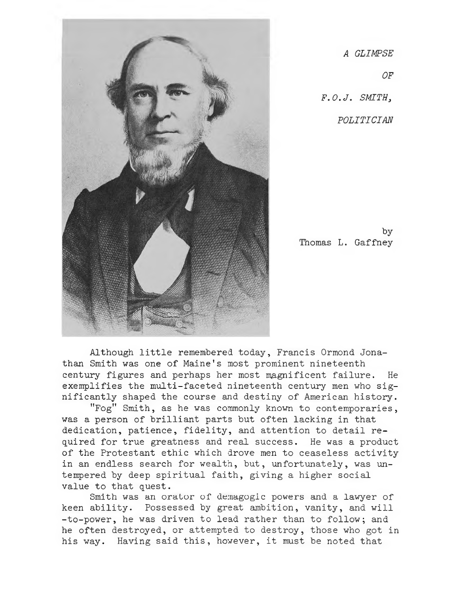

*A GLIMPSE OF F.O.J. SMITH<sup>3</sup> POLITICIAN*

by Thomas L. Gaffney

Although little remembered today, Francis Ormond Jonathan Smith was one of Maine's most prominent nineteenth century figures and perhaps her most magnificent failure. He exemplifies the multi-faceted nineteenth century men who significantly shaped the course and destiny of American history.

"Fog" Smith, as he was commonly known to contemporaries, was <sup>a</sup> person of brilliant parts but often lacking in that dedication, patience, fidelity, and attention to detail required for true greatness and real success. He was a product of the Protestant ethic which drove men to ceaseless activity in an endless search for wealth, but, unfortunately, was untempered by deep spiritual faith, giving a higher social value to that quest.

Smith was an orator of demagogic powers and <sup>a</sup> lawyer of keen ability. Possessed by great ambition, vanity, and will -to-power, he was driven to lead rather than to follow; and he often destroyed, or attempted to destroy, those who got in his way. Having said this, however, it must be noted that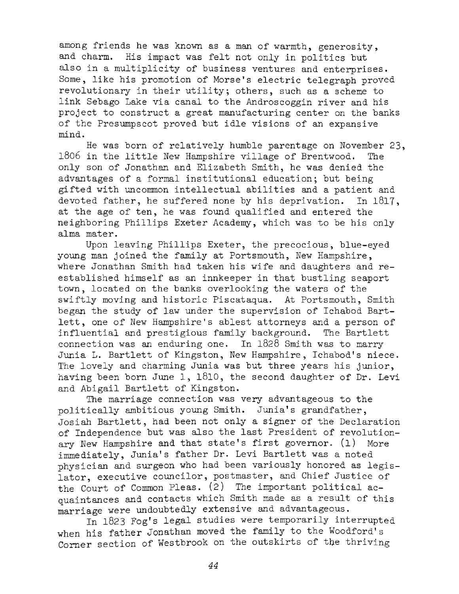among friends he was known as <sup>a</sup> man of warmth, generosity, and charm. His impact was felt not only in politics hut also in a multiplicity of business ventures and enterprises. Some, like his promotion of Morse's electric telegraph proved revolutionary in their utility; others, such as <sup>a</sup> scheme to link Sebago Lake via canal to the Androscoggin river and his project to construct a great manufacturing center on the banks of the Presumpscot proved but idle visions of an expansive mind.

He was born of relatively humble parentage on November 23, <sup>1806</sup> in the little New Hampshire village of Brentwood. The only son of Jonathan and Elizabeth Smith, he was denied the advantages of <sup>a</sup> formal institutional education; but being gifted with uncommon intellectual abilities and <sup>a</sup> patient and devoted father, he suffered none by his deprivation. In 1817, at the age of ten, he was found qualified and entered the neighboring Phillips Exeter Academy, which was to be his only alma mater.

Upon leaving Phillips Exeter, the precocious, blue-eyed young man joined the family at Portsmouth, New Hampshire, where Jonathan Smith had taken his wife and daughters and reestablished himself as an innkeeper in that bustling seaport town, located on the banks overlooking the waters of the swiftly moving and historic Piscataqua. At Portsmouth, Smith began the study of law under the supervision of Ichabod Bartlett, one of New Hampshire'<sup>s</sup> ablest attorneys and <sup>a</sup> person of influential and prestigious family background. The Bartlett connection was an enduring one. In 1828 Smith was to marry Junia L. Bartlett of Kingston, New Hampshire, Ichabod's niece. The lovely and charming Junia was but three years his junior, having been born June 1, 1810, the second daughter of Dr. Levi and Abigail Bartlett of Kingston.

The marriage connection was very advantageous to the politically ambitious young Smith. Junia's grandfather, Josiah Bartlett, had been not only a signer of the Declaration of Independence but was also the last President of revolutionary New Hampshire and that state's first governor. (1) More immediately, Junia's father Dr. Levi Bartlett was a noted physician and surgeon who had been variously honored as legislator, executive councilor, postmaster, and Chief Justice of the Court of Common Pleas. (2) The important political acquaintances and contacts which Smith made as a result of this marriage were undoubtedly extensive and advantageous.

In 1823 Fog's legal studies were temporarily interrupted when his father Jonathan moved the family to the Woodford's Corner section of Westbrook on the outskirts of the thriving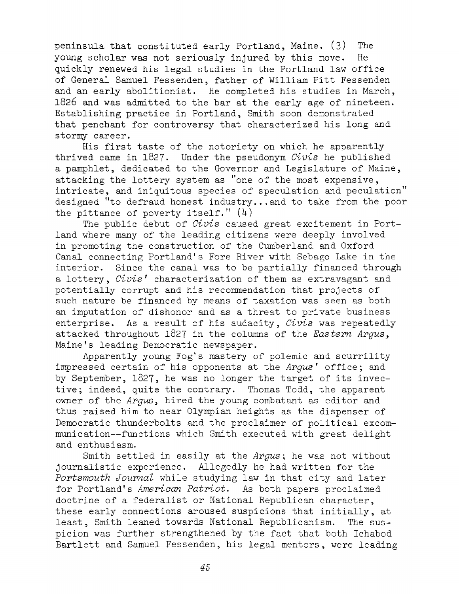peninsula that constituted early Portland, Maine. (3) The young scholar was not seriously injured by this move. He quickly renewed his legal studies in the Portland law office of General Samuel Fessenden, father of William Pitt Fessenden and an early abolitionist. He completed his studies in March, 1826 and was admitted to the bar at the early age of nineteen. Establishing practice in Portland, Smith soon demonstrated that penchant for controversy that characterized his long and stormy career.

His first taste of the notoriety on which he apparently thrived came in 1827. Under the pseudonym *Civis* he published a pamphlet, dedicated to the Governor and Legislature of Maine, attacking the lottery system as "one of the most expensive, intricate, and iniquitous species of speculation and peculation" designed "to defraud honest industry... and to take from the poor the pittance of poverty itself."  $(4)$ 

The public debut of *Civis* caused great excitement in Portland where many of the leading citizens were deeply involved in promoting the construction of the Cumberland and Oxford Canal connecting Portland'<sup>s</sup> Fore River with Sebago Lake in the interior. Since the canal was to be partially financed through a lottery, *Civis'* characterization of them as extravagant and potentially corrupt and his recommendation that projects of such nature be financed by means of taxation was seen as both an imputation of dishonor and as a threat to private business enterprise. As <sup>a</sup> result of his audacity, *Civis* was repeatedly attacked throughout 1827 in the columns of the *Eastern Argus<sup>&</sup>gt;* Maine'<sup>s</sup> leading Democratic newspaper.

Apparently young Fog'<sup>s</sup> mastery of polemic and scurrility impressed certain of his opponents at the *Argus* ' office; and by September, 1827, he was no longer the target of its invective; indeed, quite the contrary. Thomas Todd, the apparent owner of the *Argus*, hired the young combatant as editor and thus raised him to near Olympian heights as the dispenser of Democratic thunderbolts and the proclaimer of political excommunication—functions which Smith executed with great delight and enthusiasm.

Smith settled in easily at the *Argus ;* he was not without journalistic experience. Allegedly he had written for the *Portsmouth Journal* while studying law in that city and later for Portland'<sup>s</sup> *American Patriot.* As both papers proclaimed doctrine of <sup>a</sup> federalist or National Republican character, these early connections aroused suspicions that initially, at least, Smith leaned towards National Republicanism. The suspicion was further strengthened by the fact that both Ichabod Bartlett and Samuel Fessenden, his legal mentors, were leading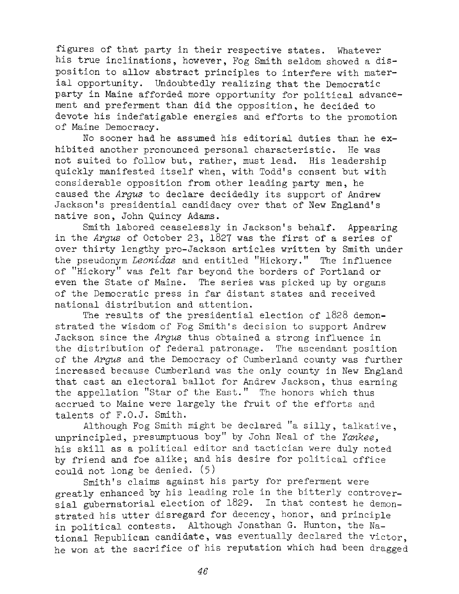figures of that party in their respective states. Whatever his true inclinations, however, Fog Smith seldom showed a disposition to allow abstract principles to interfere with material opportunity. Undoubtedly realizing that the Democratic party in Maine afforded more opportunity for political advancement and preferment than did the opposition, he decided to devote his indefatigable energies and efforts to the promotion of Maine Democracy.

No sooner had he assumed his editorial duties than he exhibited another pronounced personal characteristic. He was not suited to follow but, rather, must lead. His leadership quickly manifested itself when, with Todd'<sup>s</sup> consent but with considerable opposition from other leading party men, he caused the *Argus* to declare decidedly its support of Andrew Jackson'<sup>s</sup> presidential candidacy over that of New England'<sup>s</sup> native son, John Quincy Adams.

Smith labored ceaselessly in Jackson'<sup>s</sup> behalf. Appearing in the *Argus* of October 23, <sup>1827</sup> was the first of <sup>a</sup> series of over thirty lengthy pro-Jackson articles written by Smith under the pseudonym *Leonidas* and entitled "Hickory." The influence of "Hickory" was felt far beyond the borders of Portland or even the State of Maine. The series was picked up by organs of the Democratic press in far distant states and received national distribution and attention.

The results of the presidential election of 1828 demonstrated the wisdom of Fog Smith'<sup>s</sup> decision to support Andrew Jackson since the *Argus* thus obtained a strong influence in the distribution of federal patronage. The ascendant position of the *Argus* and the Democracy of Cumberland county was further increased because Cumberland was the only county in New England that cast an electoral ballot for Andrew Jackson, thus earning the appellation "Star of the East." The honors which thus accrued to Maine were largely the fruit of the efforts and talents of F.O.J. Smith.

Although Fog Smith might be declared "a silly, talkative, unprincipled, presumptuous boy" by John Neal of the *Yankee*, his skill as <sup>a</sup> political editor and tactician were duly noted by friend and foe alike; and his desire for political office could not long be denied. (5)

Smith'<sup>s</sup> claims against his party for preferment were greatly enhanced by his leading role in the bitterly controversial gubernatorial election of 1829. In that contest he demonstrated his utter disregard for decency, honor, and principle in political contests. Although Jonathan G. Hunton, the National Republican candidate, was eventually declared the victor, he won at the sacrifice of his reputation which had been dragged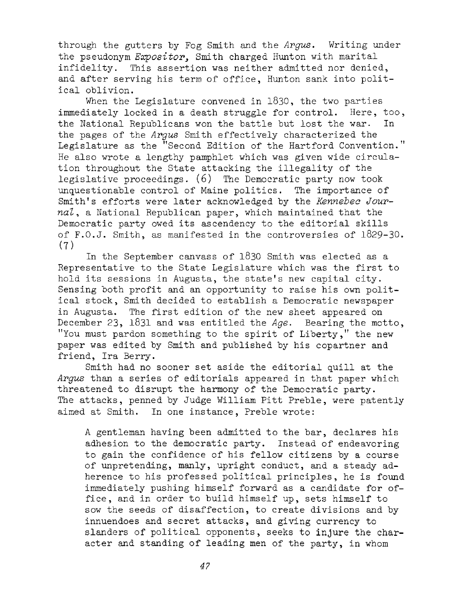through the gutters by Fog Smith and the *Argus.* Writing under the pseudonym *Expositor*, Smith charged Hunton with marital infidelity. This assertion was neither admitted nor denied, and after serving his term of office, Hunton sank into political oblivion.

When the Legislature convened in 1830, the two parties immediately locked in a death struggle for control. Here, too, the National Republicans won the battle but lost the war. In the pages of the *Argus* Smith effectively characterized the Legislature as the "Second Edition of the Hartford Convention." He also wrote a lengthy pamphlet which was given wide circulation throughout the State attacking the illegality of the legislative proceedings. (6) The Democratic party now took unquestionable control of Maine politics. The importance of Smith's efforts were later acknowledged by the *Kennebec Jour*nal, a National Republican paper, which maintained that the Democratic party owed its ascendency to the editorial skills of F.O.J. Smith, as manifested in the controversies of 1829-30. (7)

In the September canvass of <sup>1830</sup> Smith was elected as <sup>a</sup> Representative to the State Legislature which was the first to hold its sessions in Augusta, the state's new capital city. Sensing both profit and an opportunity to raise his own political stock, Smith decided to establish <sup>a</sup> Democratic newspaper in Augusta. The first edition of the new sheet appeared on December 23, 1831 and was entitled the *Age.* Bearing the motto, "You must pardon something to the spirit of Liberty," the new paper was edited by Smith and published by his copartner and friend, Ira Berry.

Smith had no sooner set aside the editorial quill at the *Argus* than <sup>a</sup> series of editorials appeared in that paper which threatened to disrupt the harmony of the Democratic party. The attacks, penned by Judge William Pitt Preble, were patently aimed at Smith. In one instance, Preble wrote:

<sup>A</sup> gentleman having been admitted to the bar, declares his adhesion to the democratic party. Instead of endeavoring to gain the confidence of his fellow citizens by a course of unpretending, manly, upright conduct, and a steady adherence to his professed political principles, he is found immediately pushing himself forward as a candidate for office, and in order to build himself up, sets himself to sow the seeds of disaffection, to create divisions and by innuendoes and secret attacks, and giving currency to slanders of political opponents, seeks to injure the character and standing of leading men of the party, in whom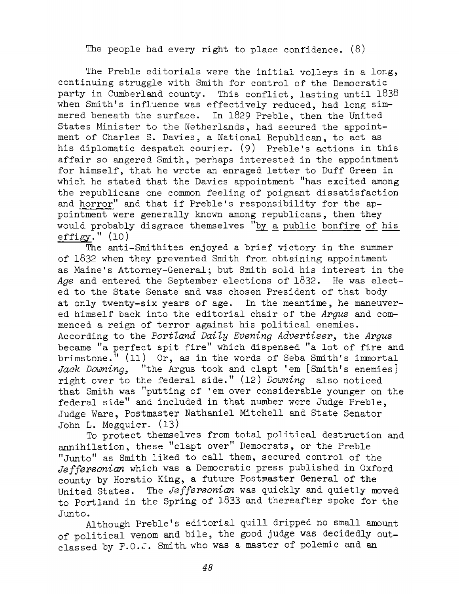The people had every right to place confidence.  $(8)$ 

The Preble editorials were the initial volleys in <sup>a</sup> long, continuing struggle with Smith for control of the Democratic party in Cumberland county. This conflict, lasting until 1838 when Smith's influence was effectively reduced, had long sim-<br>mered beneath the surface. In 1829 Preble, then the United In 1829 Preble, then the United States Minister to the Netherlands, had secured the appointment of Charles S. Davies, a National Republican, to act as his diplomatic despatch courier. (9) Preble'<sup>s</sup> actions in this affair so angered Smith, perhaps interested in the appointment for himself, that he wrote an enraged letter to Duff Green in which he stated that the Davies appointment "has excited among the republicans one common feeling of poignant dissatisfaction and horror" and that if Preble'<sup>s</sup> responsibility for the appointment were generally known among republicans, then they would probably disgrace themselves "by a public bonfire of his effigy."  $(10)$ 

The anti-Smithites enjoyed <sup>a</sup> brief victory in the summer of 1832 when they prevented Smith from obtaining appointment as Maine'<sup>s</sup> Attorney-General; but Smith sold his interest in the *Age* and entered the September elections of 1832. He was elected to the State Senate and was chosen President of that body at only twenty-six years of age. In the meantime, he maneuvered himself back into the editorial chair of the *Argus* and commenced <sup>a</sup> reign of terror against his political enemies. According to the *Portland Daily Evening Advertiser,* the *Argus* became "a perfect spit fire" which dispensed "a lot of fire and brimstone." (11) Or, as in the words of Seba Smith'<sup>s</sup> immortal *Jack Downing,* "the Argus took and clapt 'em [Smith'<sup>s</sup> enemies] right over to the federal side." (12) *Downing* also noticed that Smith was "putting of 'em over considerable younger on the federal side" and included in that number were Judge Preble, Judge Ware, Postmaster Nathaniel Mitchell and State Senator John L. Megquier- (13)

To protect themselves from total political destruction and annihilation, these "clapt over" Democrats, or the Preble "Junto" as Smith liked to call them, secured control of the *Jeffersonian* which was a Democratic press published in Oxford county by Horatio King, a future Postmaster General of the United States. The *Jeffersonian* was quickly and quietly moved to Portland in the Spring of 1833 and thereafter spoke for the Junto.

Although Preble'<sup>s</sup> editorial quill dripped no small amount of political venom and bile, the good judge was decidedly outclassed by F.O.J. Smith who was a master of polemic and an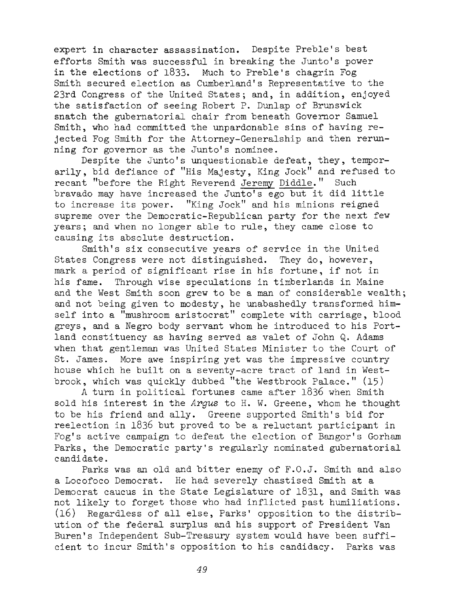expert in character assassination. Despite Preble'<sup>s</sup> best efforts Smith was successful in breaking the Junto'<sup>s</sup> power in the elections of 1833. Much to Preble'<sup>s</sup> chagrin Fog Smith secured election as Cumberland'<sup>s</sup> Representative to the 23rd Congress of the United States; and, in addition, enjoyed the satisfaction of seeing Robert P. Dunlap of Brunswick snatch the gubernatorial chair from beneath Governor Samuel Smith, who had committed the unpardonable sins of having rejected Fog Smith for the Attorney-Generalship and then rerunning for governor as the Junto'<sup>s</sup> nominee.

Despite the Junto'<sup>s</sup> unquestionable defeat, they, temporarily, bid defiance of "His Majesty, King Jock" and refused to recant "before the Right Reverend Jeremy Diddle." Such bravado may have increased the Junto'<sup>s</sup> ego but it did little to increase its power. "King Jock" and his minions reigned supreme over the Democratic-Republican party for the next few years; and when no longer able to rule, they came close to causing its absolute destruction.

Smith'<sup>s</sup> six consecutive years of service in the United States Congress were not distinguished. They do, however, mark a period of significant rise in his fortune, if not in<br>his fame. Through wise speculations in timberlands in Maine Through wise speculations in timberlands in Maine and the West Smith soon grew to be <sup>a</sup> man of considerable wealth; and not being given to modesty, he unabashedly transformed himself into <sup>a</sup> "mushroom aristocrat" complete with carriage, blood greys, and a Negro body servant whom he introduced to his Portland constituency as having served as valet of John Q. Adams when that gentleman was United States Minister to the Court of St. James. More awe inspiring yet was the impressive country house which he built on <sup>a</sup> seventy-acre tract of land in Westbrook, which was quickly dubbed "the Westbrook Palace." (15)

<sup>A</sup> turn in political fortunes came after <sup>1836</sup> when Smith sold his interest in the *Argus* to H. W. Greene, whom he thought to be his friend and ally. Greene supported Smith'<sup>s</sup> bid for reelection in 1836 but proved to be a reluctant participant in Fog'<sup>s</sup> active campaign to defeat the election of Bangor'<sup>s</sup> Gorham Parks, the Democratic party's regularly nominated gubernatorial candidate.

Parks was an old and bitter enemy of F.O.J. Smith and also a Locofoco Democrat. He had severely chastised Smith at a Democrat caucus in the State Legislature of 1831, and Smith was not likely to forget those who had inflicted past humiliations. (16) Regardless of all else, Parks' opposition to the distribution of the federal surplus and his support of President Van Buren'<sup>s</sup> Independent Sub-Treasury system would have been sufficient to incur Smith'<sup>s</sup> opposition to his candidacy. Parks was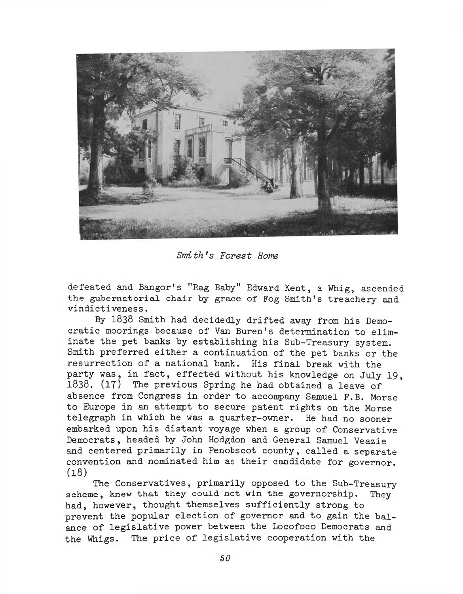

*Smith's Forest Home*

defeated and Bangor's "Rag Baby" Edward Kent, a Whig, ascended the gubernatorial chair by grace of Fog Smith's treachery and vindictiveness.

By 1838 Smith had decidedly drifted away from his Democratic moorings because of Van Buren's determination to eliminate the pet banks by establishing his Sub-Treasury system. Smith preferred either a continuation of the pet banks or the resurrection of a national bank. His final break with the party was, in fact, effected without his knowledge on July 19, 1838. (17) The previous Spring he had obtained a leave of absence from Congress in order to accompany Samuel F.B. Morse to Europe in an attempt to secure patent rights on the Morse telegraph in which he was a quarter-owner. He had no sooner embarked upon his distant voyage when a group of Conservative Democrats, headed by John Hodgdon and General Samuel Veazie and centered primarily in Penobscot county, called a separate convention and nominated him as their candidate for governor. (18)

The Conservatives, primarily opposed to the Sub-Treasury scheme, knew that they could not win the governorship. They had, however, thought themselves sufficiently strong to prevent the popular election of governor and to gain the balance of legislative power between the Locofoco Democrats and the Whigs. The price of legislative cooperation with the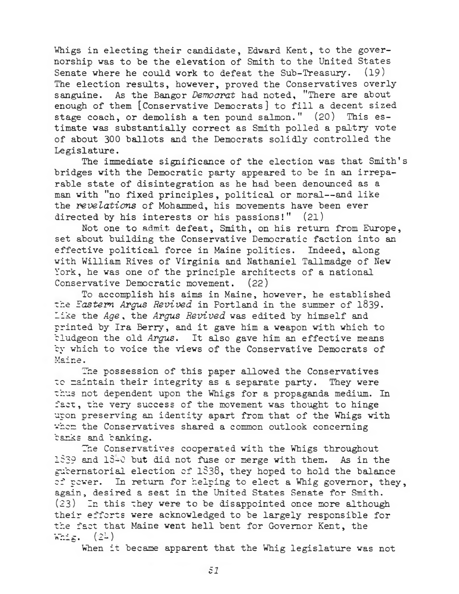Whigs in electing their candidate, Edward Kent, to the governorship was to he the elevation of Smith to the United States Senate where he could work to defeat the Sub-Treasury. (19) The election results, however, proved the Conservatives overly sanguine. As the Bangor *Democrat* had noted, "There are about enough of them [Conservative Democrats] to fill <sup>a</sup> decent sized stage coach, or demolish a ten pound salmon." (20) This estimate was substantially correct as Smith polled a paltry vote of about <sup>300</sup> ballots and the Democrats solidly controlled the Legislature.

The immediate significance of the election was that Smith's bridges with the Democratic party appeared to be in an irreparable state of disintegration as he had been denounced as <sup>a</sup> man with "no fixed principles, political or moral—and like the *revelations* of Mohammed, his movements have been ever directed by his interests or his passions!" (21)

Not one to admit defeat, Smith, on his return from Europe, set about building the Conservative Democratic faction into an effective political force in Maine politics. Indeed, along with William Rives of Virginia and Nathaniel Tallmadge of New York, he was one of the principle architects of a national Conservative Democratic movement. (22)

To accomplish his aims in Maine, however, he established the *Eastern Argus Revived* in Portland in the summer of 1839- Like the *Age ,* the *Argus Revived* was edited by himself and printed by Ira Berry, and it gave him <sup>a</sup> weapon with which to bludgeon the old Argus. It also gave him an effective means by which to voice the views of the Conservative Democrats of Maine.

The possession of this paper allowed the Conservatives to maintain their integrity as <sup>a</sup> separate party. They were thus not dependent upon the Whigs for a propaganda medium. In fact, the very success of the movement was thought to hinge upon preserving an identity apart from that of the Whigs with whem the Conservatives shared a common outlook concerning banks and banking.

'The Conservatives cooperated with the Whigs throughout 1839 and 1840 but did not fuse or merge with them. As in the gubernatorial election of 1838, they hoped to hold the balance of power. In return for helping to elect a Whig governor, they, again, desired a seat in the United States Senate for Smith. (23) In this they were to be disappointed once more although their efforts were acknowledged to be largely responsible for the fact that Maine went hell bent for Governor Kent, the Whig.  $(2L)$ 

When it became apparent that the Whig legislature was not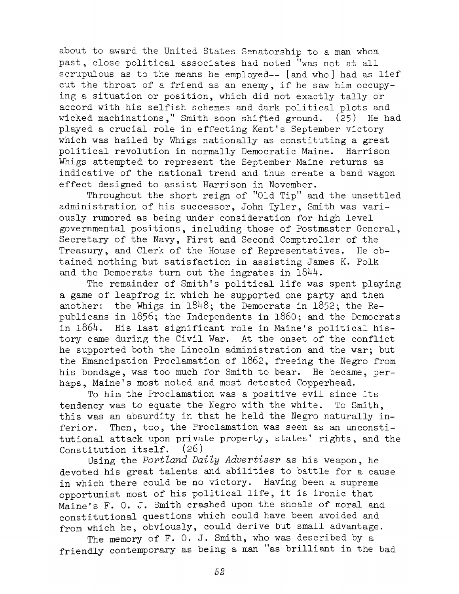about to award the United States Senatorship to a man whom past, close political associates had noted ''was not at all scrupulous as to the means he employed-- [and who] had as lief cut the throat of a friend as an enemy, if he saw him occupying <sup>a</sup> situation or position, which did not exactly tally or accord with his selfish schemes and dark political plots and wicked machinations," Smith soon shifted ground.  $(25)$  He had played a crucial role in effecting Kent's September victory which was hailed by Whigs nationally as constituting a great political revolution in normally Democratic Maine. Harrison Whigs attempted to represent the September Maine returns as indicative of the national trend and thus create a band wagon effect designed to assist Harrison in November.

Throughout the short reign of "Old Tip" and the unsettled administration of his successor, John Tyler, Smith was variously rumored as being under consideration for high level governmental positions, including those of Postmaster General, Secretary of the Navy, First and Second Comptroller of the Treasury, and Clerk of the House of Representatives. He obtained nothing but satisfaction in assisting James K. Polk and the Democrats turn out the ingrates in  $1844$ .

The remainder of Smith's political life was spent playing a game of leapfrog in which he supported one party and then another: the Whigs in  $1848$ ; the Democrats in  $1852$ ; the Republicans in 1856; the Independents in i860; and the Democrats in 1864. His last significant role in Maine's political history came during the Civil War. At the onset of the conflict he supported both the Lincoln administration and the war; but the Emancipation Proclamation of 1862, freeing the Negro from his bondage, was too much for Smith to bear. He became, perhaps, Maine's most noted and most detested Copperhead.

To him the Proclamation was <sup>a</sup> positive evil since its tendency was to equate the Negro with the white. To Smith, this was an absurdity in that he held the Negro naturally inferior. Then, too, the Proclamation was seen as an unconstitutional attack upon private property, states' rights, and the Constitution itself. (26)

Using the *Portland Daily Advertiser* as his weapon, he devoted his great talents and abilities to battle for a cause in which there could be no victory. Having been a supreme opportunist most of his political life, it is ironic that Maine's F. 0. J. Smith crashed upon the shoals of moral and constitutional questions which could have been avoided and from which he, obviously, could derive but small advantage.

The memory of F. O. J. Smith, who was described by a friendly contemporary as being <sup>a</sup> man "as brilliant in the bad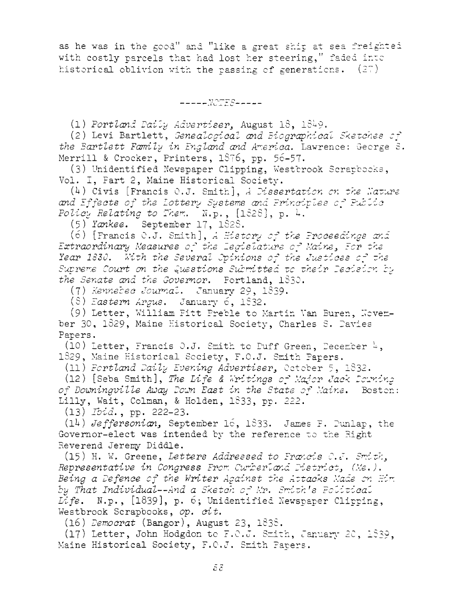as he was in the good" and "like <sup>a</sup> great shir at sea freighted with costly parcels that had lost her steering," faded into historical oblivion with the passing of generations.  $(27)$ 

*-----NOTES-----*

(1) *Portland Daily Advertiser*August 18, 1829.

(2) Levi Bartlett, *Genealogical and Biographical Sketches* op *the Bartlett Family in England and America.* Lawrence: George <sup>S</sup> Merrill & Crocker, Printers, 1876, pp. 56-57.

(3) Unidentified Newspaper Clipping, Westbrook Scrapcooks, Vol. I, Fart 2, Maine Historical Society.

(4) Civis [Francis O.J. Smith], A *Dissertation* on the *Mature and Effects of the Lottery <sup>S</sup>ystems and Principles Public Policy Relating to Them.* N.p., [1828], p. 8.

(5) *Yankee.* September 17, 1828.

(6) [Francis O.J. Smith], *<sup>A</sup> History o^ the Proceedinas and Extraordinary Measures of the Legislature of Maine Bor the Year 1330. Pith the Several Opinions of the Justices of the Supreme Court on the Questions Submitted to their Decision By the Senate and the Governor.* Portland, 1832.

(7) *Kennebec Journal.* January 29, 1839.

(8) *Eastern Argus.* January 6, 1832.

(9) Letter, William Fitt Preble to Martin Van ber 30, 1829, Maine Historical Society, Charles S. Davies Papers.

(10) Letter, Francis O.J. Smith to Puff Green, 1829, Maine Historical Society, F.O.J. Smith Fa

(11) *Portland Daily Evening Advertiser^* Oct ole

(12) [Seba Smith], *The Life & Eri tings of Maf*<sup>o</sup> *of Downingville Aioay Dom East in the State of* Lilly, Wait, Colman, & Holden, 1833, pp. 222.

(13) *Ibid.,* pp. 222-23.

(12) *Jeffersonian^* September 16, 1833. James F. Punlap, the Governor-elect was intended by the reference to the Fight Reverend Jeremy Diddle.

(15) H. W. Greene, *Letters Addressed to Francis O.J. Smith, Representative in Congress From Cumberland District, (Me.). Being <sup>a</sup> Defence of the Writer Against the Attacks Made an <sup>H</sup>*  *bv That Individual—And <sup>a</sup> Sketch o~ Mr. Smith<sup>9</sup> <sup>s</sup> Political* Life. N.p., [1839], p. 6; Unidentified Newspaper Clipping, Westbrook Scrapbooks, *op. cit.*

(16) *Democrat* (Bangor), August

 $(17)$  Letter, John Hodgdon to F.O.J. Smith, January 20, 1839, Maine Historical Society, F.O.J. Smith